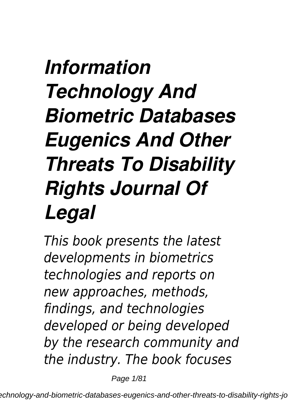### *Information Technology And Biometric Databases Eugenics And Other Threats To Disability Rights Journal Of Legal*

*This book presents the latest developments in biometrics technologies and reports on new approaches, methods, findings, and technologies developed or being developed by the research community and the industry. The book focuses*

Page 1/81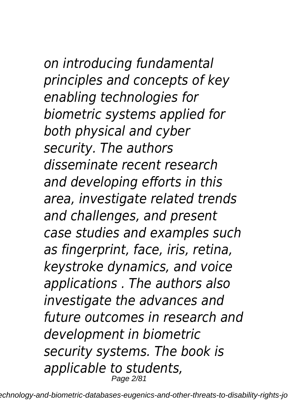# *on introducing fundamental*

*principles and concepts of key enabling technologies for biometric systems applied for both physical and cyber security. The authors disseminate recent research and developing efforts in this area, investigate related trends and challenges, and present case studies and examples such as fingerprint, face, iris, retina, keystroke dynamics, and voice applications . The authors also investigate the advances and future outcomes in research and development in biometric security systems. The book is applicable to students,* Page 2/81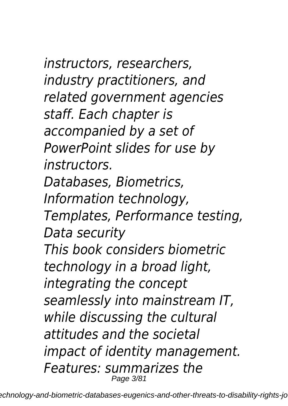*instructors, researchers, industry practitioners, and related government agencies staff. Each chapter is accompanied by a set of PowerPoint slides for use by instructors. Databases, Biometrics, Information technology, Templates, Performance testing, Data security This book considers biometric technology in a broad light, integrating the concept seamlessly into mainstream IT, while discussing the cultural attitudes and the societal impact of identity management. Features: summarizes the* Page 3/81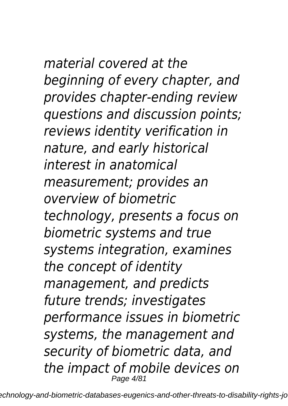*material covered at the beginning of every chapter, and provides chapter-ending review questions and discussion points; reviews identity verification in nature, and early historical interest in anatomical measurement; provides an overview of biometric technology, presents a focus on biometric systems and true systems integration, examines the concept of identity management, and predicts future trends; investigates performance issues in biometric systems, the management and*

*security of biometric data, and the impact of mobile devices on* Page 4/81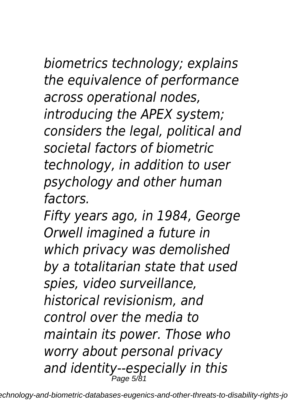*biometrics technology; explains the equivalence of performance across operational nodes, introducing the APEX system; considers the legal, political and societal factors of biometric technology, in addition to user psychology and other human factors.*

*Fifty years ago, in 1984, George Orwell imagined a future in which privacy was demolished by a totalitarian state that used spies, video surveillance, historical revisionism, and control over the media to maintain its power. Those who worry about personal privacy and identity--especially in this* Page 5/81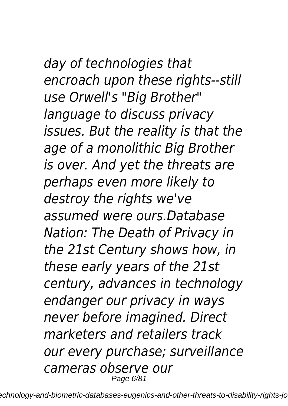#### *day of technologies that encroach upon these rights--still use Orwell's "Big Brother" language to discuss privacy issues. But the reality is that the age of a monolithic Big Brother*

*is over. And yet the threats are perhaps even more likely to destroy the rights we've assumed were ours.Database Nation: The Death of Privacy in the 21st Century shows how, in these early years of the 21st century, advances in technology endanger our privacy in ways never before imagined. Direct marketers and retailers track our every purchase; surveillance cameras observe our* Page 6/81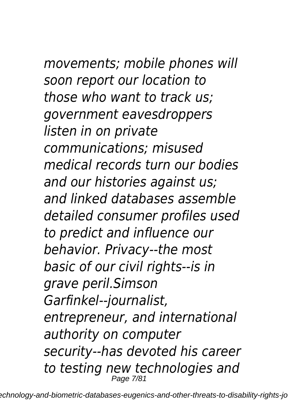*movements; mobile phones will soon report our location to those who want to track us; government eavesdroppers listen in on private communications; misused medical records turn our bodies and our histories against us; and linked databases assemble detailed consumer profiles used to predict and influence our behavior. Privacy--the most basic of our civil rights--is in grave peril.Simson Garfinkel--journalist, entrepreneur, and international authority on computer security--has devoted his career to testing new technologies and*

Page 7/81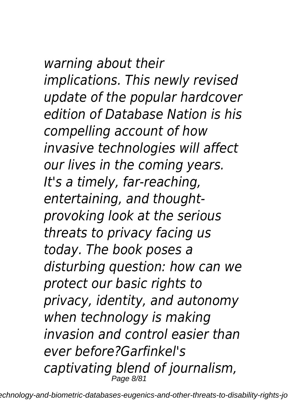*warning about their implications. This newly revised update of the popular hardcover edition of Database Nation is his compelling account of how invasive technologies will affect our lives in the coming years. It's a timely, far-reaching, entertaining, and thoughtprovoking look at the serious threats to privacy facing us today. The book poses a disturbing question: how can we protect our basic rights to privacy, identity, and autonomy when technology is making invasion and control easier than ever before?Garfinkel's captivating blend of journalism,* Page 8/81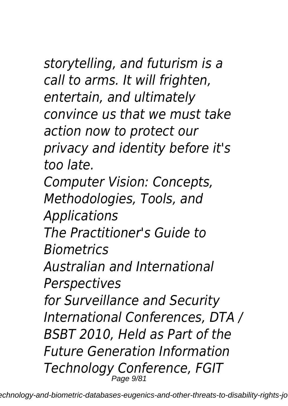*storytelling, and futurism is a call to arms. It will frighten, entertain, and ultimately convince us that we must take action now to protect our privacy and identity before it's too late. Computer Vision: Concepts, Methodologies, Tools, and Applications The Practitioner's Guide to Biometrics Australian and International Perspectives for Surveillance and Security International Conferences, DTA / BSBT 2010, Held as Part of the Future Generation Information Technology Conference, FGIT*

Page 9/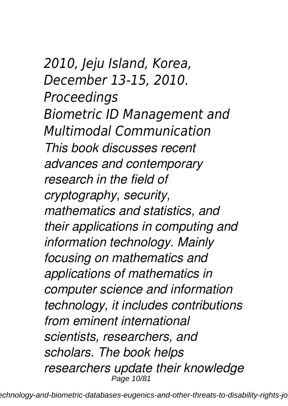*2010, Jeju Island, Korea, December 13-15, 2010. Proceedings Biometric ID Management and Multimodal Communication This book discusses recent advances and contemporary research in the field of cryptography, security, mathematics and statistics, and their applications in computing and information technology. Mainly focusing on mathematics and applications of mathematics in computer science and information technology, it includes contributions from eminent international scientists, researchers, and scholars. The book helps researchers update their knowledge* Page 10/81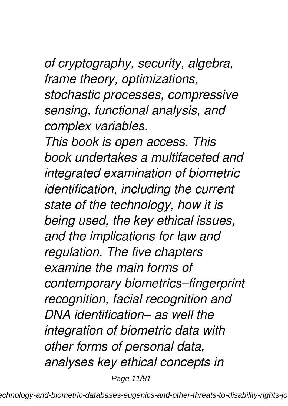*of cryptography, security, algebra, frame theory, optimizations, stochastic processes, compressive sensing, functional analysis, and complex variables.*

*This book is open access. This book undertakes a multifaceted and integrated examination of biometric identification, including the current state of the technology, how it is being used, the key ethical issues, and the implications for law and regulation. The five chapters examine the main forms of contemporary biometrics–fingerprint recognition, facial recognition and DNA identification– as well the integration of biometric data with other forms of personal data, analyses key ethical concepts in*

Page 11/81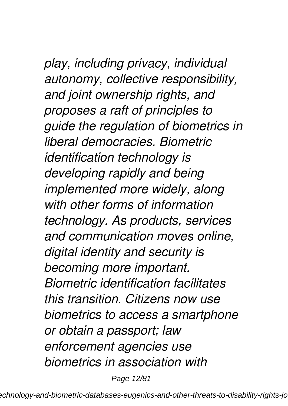#### *play, including privacy, individual autonomy, collective responsibility, and joint ownership rights, and proposes a raft of principles to guide the regulation of biometrics in liberal democracies. Biometric identification technology is developing rapidly and being implemented more widely, along with other forms of information technology. As products, services and communication moves online, digital identity and security is becoming more important. Biometric identification facilitates this transition. Citizens now use biometrics to access a smartphone or obtain a passport; law enforcement agencies use biometrics in association with*

Page 12/81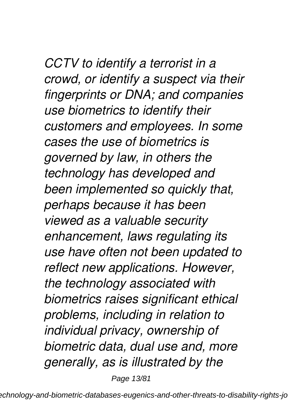*CCTV to identify a terrorist in a crowd, or identify a suspect via their fingerprints or DNA; and companies use biometrics to identify their customers and employees. In some cases the use of biometrics is governed by law, in others the technology has developed and been implemented so quickly that, perhaps because it has been viewed as a valuable security enhancement, laws regulating its use have often not been updated to reflect new applications. However, the technology associated with biometrics raises significant ethical problems, including in relation to individual privacy, ownership of biometric data, dual use and, more generally, as is illustrated by the*

Page 13/81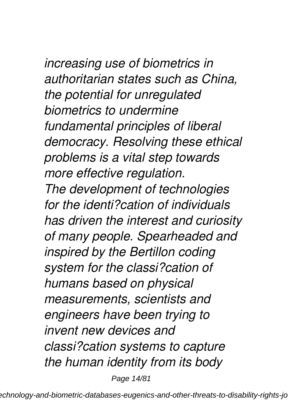*increasing use of biometrics in authoritarian states such as China, the potential for unregulated biometrics to undermine fundamental principles of liberal democracy. Resolving these ethical problems is a vital step towards more effective regulation. The development of technologies for the identi?cation of individuals has driven the interest and curiosity of many people. Spearheaded and inspired by the Bertillon coding system for the classi?cation of humans based on physical measurements, scientists and engineers have been trying to invent new devices and classi?cation systems to capture*

*the human identity from its body*

Page 14/81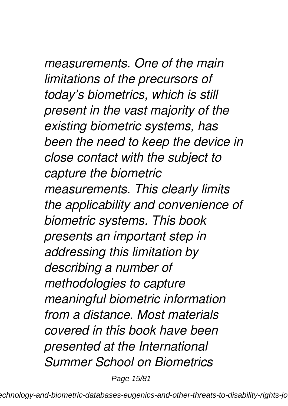*measurements. One of the main limitations of the precursors of today's biometrics, which is still present in the vast majority of the existing biometric systems, has been the need to keep the device in close contact with the subject to capture the biometric measurements. This clearly limits the applicability and convenience of biometric systems. This book presents an important step in addressing this limitation by describing a number of methodologies to capture meaningful biometric information from a distance. Most materials covered in this book have been presented at the International Summer School on Biometrics*

Page 15/81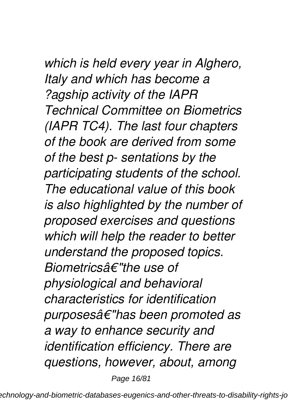#### *which is held every year in Alghero, Italy and which has become a ?agship activity of the IAPR*

*Technical Committee on Biometrics (IAPR TC4). The last four chapters of the book are derived from some of the best p- sentations by the participating students of the school. The educational value of this book is also highlighted by the number of proposed exercises and questions which will help the reader to better understand the proposed topics. Biometricsâ€"the use of physiological and behavioral characteristics for identification purposesâ€"has been promoted as a way to enhance security and identification efficiency. There are questions, however, about, among*

Page 16/81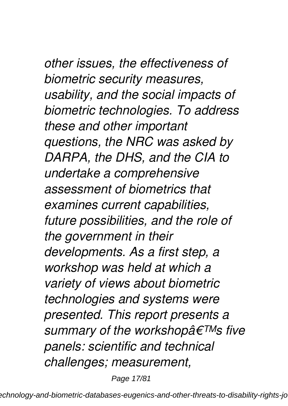*other issues, the effectiveness of biometric security measures, usability, and the social impacts of biometric technologies. To address these and other important questions, the NRC was asked by DARPA, the DHS, and the CIA to undertake a comprehensive assessment of biometrics that examines current capabilities, future possibilities, and the role of the government in their developments. As a first step, a workshop was held at which a variety of views about biometric technologies and systems were presented. This report presents a summary of the workshop's five panels: scientific and technical challenges; measurement,*

Page 17/81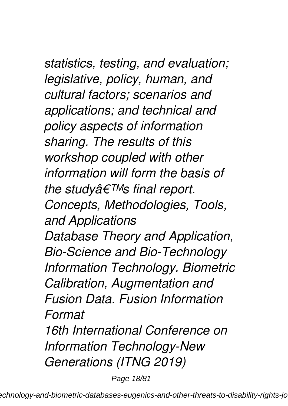*statistics, testing, and evaluation; legislative, policy, human, and cultural factors; scenarios and applications; and technical and policy aspects of information sharing. The results of this workshop coupled with other information will form the basis of the study's final report. Concepts, Methodologies, Tools, and Applications Database Theory and Application, Bio-Science and Bio-Technology Information Technology. Biometric Calibration, Augmentation and Fusion Data. Fusion Information Format 16th International Conference on*

*Information Technology-New Generations (ITNG 2019)*

Page 18/81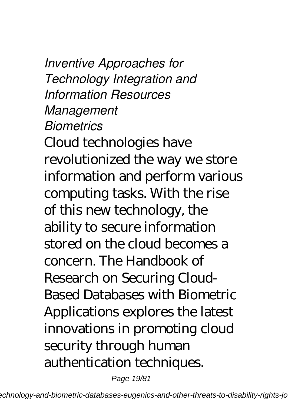*Inventive Approaches for Technology Integration and Information Resources Management Biometrics* Cloud technologies have revolutionized the way we store information and perform various computing tasks. With the rise of this new technology, the ability to secure information stored on the cloud becomes a concern. The Handbook of Research on Securing Cloud-Based Databases with Biometric Applications explores the latest innovations in promoting cloud security through human authentication techniques.

Page 19/81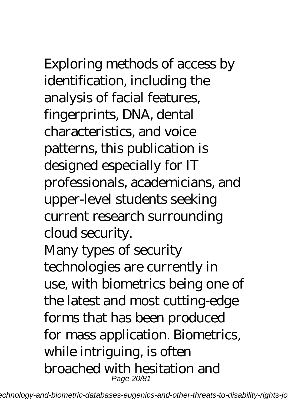## Exploring methods of access by

identification, including the analysis of facial features, fingerprints, DNA, dental characteristics, and voice patterns, this publication is designed especially for IT professionals, academicians, and upper-level students seeking current research surrounding cloud security. Many types of security

technologies are currently in use, with biometrics being one of the latest and most cutting-edge forms that has been produced for mass application. Biometrics, while intriguing, is often broached with hesitation and Page 20/81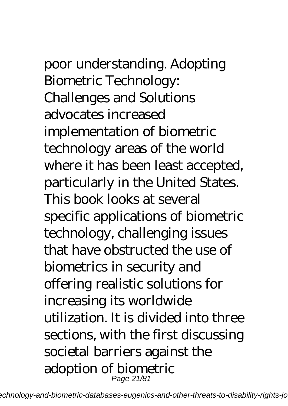poor understanding. Adopting Biometric Technology: Challenges and Solutions advocates increased implementation of biometric technology areas of the world where it has been least accepted, particularly in the United States. This book looks at several specific applications of biometric technology, challenging issues that have obstructed the use of biometrics in security and offering realistic solutions for increasing its worldwide utilization. It is divided into three sections, with the first discussing societal barriers against the adoption of biometric

Page 21/81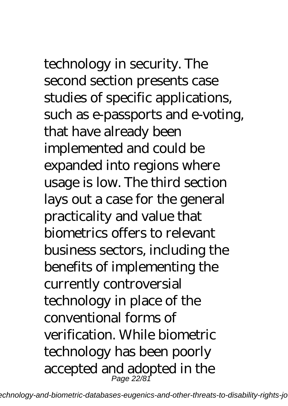# technology in security. The

second section presents case studies of specific applications, such as e-passports and e-voting, that have already been implemented and could be expanded into regions where usage is low. The third section lays out a case for the general practicality and value that biometrics offers to relevant business sectors, including the benefits of implementing the currently controversial technology in place of the conventional forms of verification. While biometric technology has been poorly accepted and adopted in the Page 22/81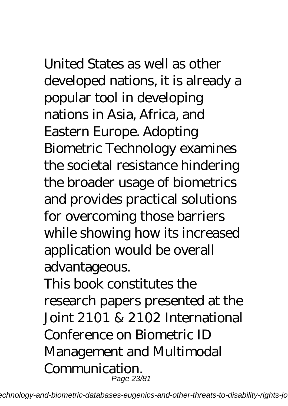## United States as well as other

developed nations, it is already a popular tool in developing nations in Asia, Africa, and Eastern Europe. Adopting Biometric Technology examines the societal resistance hindering the broader usage of biometrics and provides practical solutions for overcoming those barriers while showing how its increased application would be overall advantageous.

This book constitutes the research papers presented at the Joint 2101 & 2102 International Conference on Biometric ID Management and Multimodal Communication. Page 23/81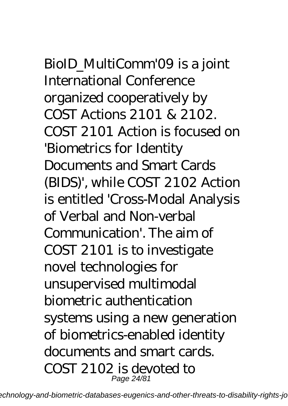BioID\_MultiComm'09 is a joint International Conference organized cooperatively by COST Actions 2101 & 2102. COST 2101 Action is focused on 'Biometrics for Identity Documents and Smart Cards (BIDS)', while COST 2102 Action is entitled 'Cross-Modal Analysis of Verbal and Non-verbal Communication'. The aim of COST 2101 is to investigate novel technologies for unsupervised multimodal biometric authentication systems using a new generation of biometrics-enabled identity documents and smart cards. COST 2102 is devoted to Page 24/81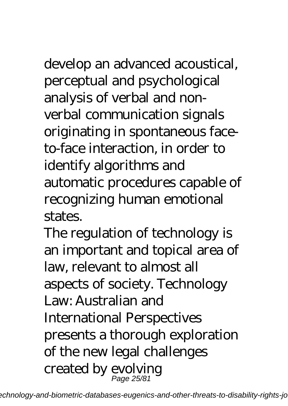develop an advanced acoustical, perceptual and psychological analysis of verbal and nonverbal communication signals originating in spontaneous faceto-face interaction, in order to identify algorithms and automatic procedures capable of recognizing human emotional states.

The regulation of technology is an important and topical area of law, relevant to almost all aspects of society. Technology Law: Australian and International Perspectives presents a thorough exploration of the new legal challenges created by evolving Page 25/81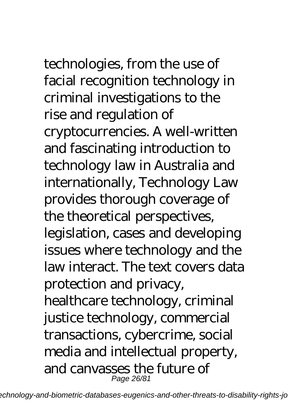## technologies, from the use of

facial recognition technology in criminal investigations to the rise and regulation of cryptocurrencies. A well-written and fascinating introduction to technology law in Australia and internationally, Technology Law provides thorough coverage of the theoretical perspectives, legislation, cases and developing issues where technology and the law interact. The text covers data protection and privacy, healthcare technology, criminal justice technology, commercial transactions, cybercrime, social media and intellectual property, and canvasses the future of

Page 26/81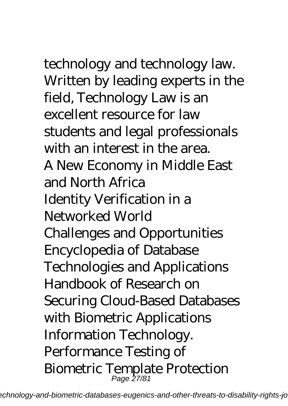technology and technology law. Written by leading experts in the field, Technology Law is an excellent resource for law students and legal professionals with an interest in the area. A New Economy in Middle East and North Africa Identity Verification in a Networked World Challenges and Opportunities Encyclopedia of Database Technologies and Applications Handbook of Research on Securing Cloud-Based Databases with Biometric Applications Information Technology. Performance Testing of Biometric Template Protection

echnology-and-biometric-databases-eugenics-and-other-threats-to-disability-rights-jo

Page 27/81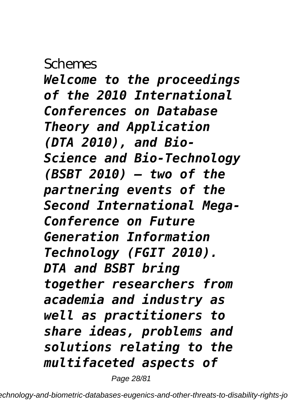#### **Schemes**

*Welcome to the proceedings of the 2010 International Conferences on Database Theory and Application (DTA 2010), and Bio-Science and Bio-Technology (BSBT 2010) – two of the partnering events of the Second International Mega-Conference on Future Generation Information Technology (FGIT 2010). DTA and BSBT bring together researchers from academia and industry as well as practitioners to share ideas, problems and solutions relating to the multifaceted aspects of*

Page 28/81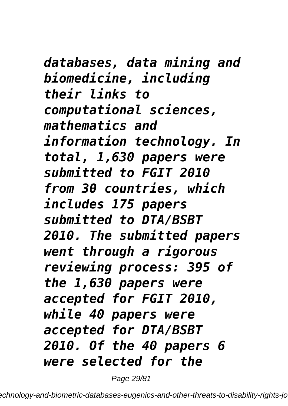*databases, data mining and biomedicine, including their links to computational sciences, mathematics and information technology. In total, 1,630 papers were submitted to FGIT 2010 from 30 countries, which includes 175 papers submitted to DTA/BSBT 2010. The submitted papers went through a rigorous reviewing process: 395 of the 1,630 papers were accepted for FGIT 2010, while 40 papers were accepted for DTA/BSBT 2010. Of the 40 papers 6 were selected for the*

Page 29/81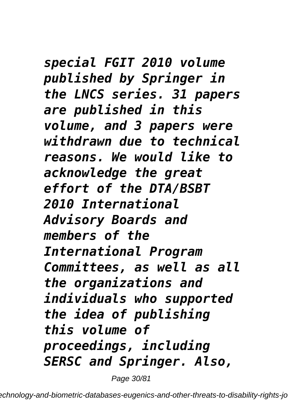*special FGIT 2010 volume published by Springer in the LNCS series. 31 papers are published in this volume, and 3 papers were withdrawn due to technical reasons. We would like to acknowledge the great effort of the DTA/BSBT 2010 International Advisory Boards and members of the International Program Committees, as well as all the organizations and individuals who supported the idea of publishing this volume of proceedings, including SERSC and Springer. Also,*

Page 30/81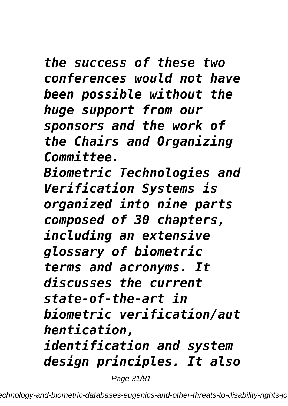*the success of these two conferences would not have been possible without the huge support from our sponsors and the work of the Chairs and Organizing Committee. Biometric Technologies and Verification Systems is organized into nine parts composed of 30 chapters, including an extensive glossary of biometric terms and acronyms. It discusses the current state-of-the-art in biometric verification/aut hentication, identification and system design principles. It also*

Page 31/81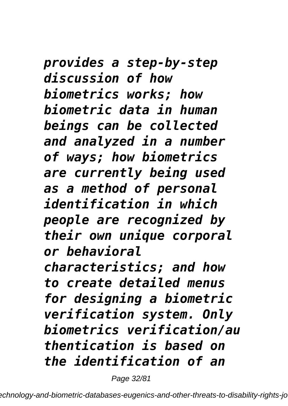*provides a step-by-step discussion of how biometrics works; how biometric data in human beings can be collected and analyzed in a number of ways; how biometrics are currently being used as a method of personal identification in which people are recognized by their own unique corporal or behavioral characteristics; and how to create detailed menus for designing a biometric verification system. Only biometrics verification/au thentication is based on the identification of an*

Page 32/81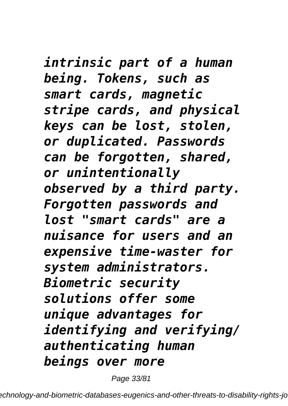*intrinsic part of a human being. Tokens, such as smart cards, magnetic stripe cards, and physical keys can be lost, stolen, or duplicated. Passwords can be forgotten, shared, or unintentionally observed by a third party. Forgotten passwords and lost "smart cards" are a nuisance for users and an expensive time-waster for system administrators. Biometric security solutions offer some unique advantages for identifying and verifying/ authenticating human beings over more*

Page 33/81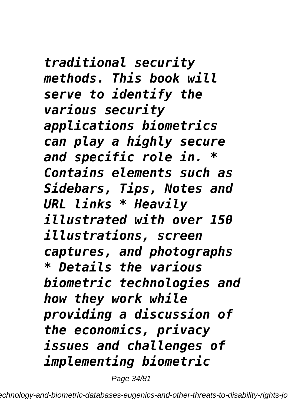*traditional security methods. This book will serve to identify the various security applications biometrics can play a highly secure and specific role in. \* Contains elements such as Sidebars, Tips, Notes and URL links \* Heavily illustrated with over 150 illustrations, screen captures, and photographs \* Details the various biometric technologies and how they work while providing a discussion of the economics, privacy issues and challenges of implementing biometric*

Page 34/81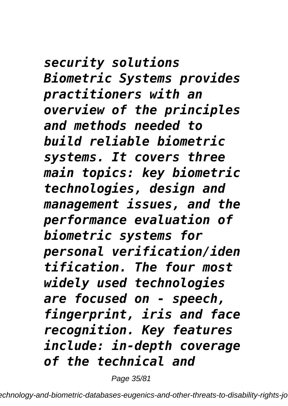*security solutions Biometric Systems provides practitioners with an overview of the principles and methods needed to build reliable biometric systems. It covers three main topics: key biometric technologies, design and management issues, and the performance evaluation of biometric systems for personal verification/iden tification. The four most widely used technologies are focused on - speech, fingerprint, iris and face recognition. Key features include: in-depth coverage of the technical and*

Page 35/81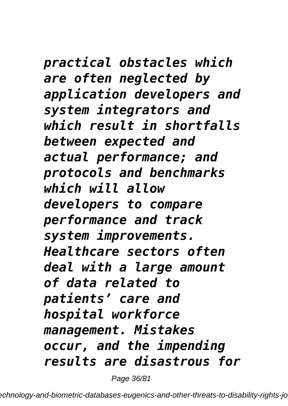*practical obstacles which are often neglected by application developers and system integrators and which result in shortfalls between expected and actual performance; and protocols and benchmarks which will allow developers to compare performance and track system improvements. Healthcare sectors often deal with a large amount of data related to patients' care and hospital workforce management. Mistakes occur, and the impending results are disastrous for*

Page 36/81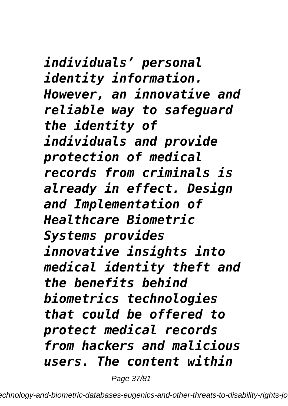*individuals' personal identity information. However, an innovative and reliable way to safeguard the identity of individuals and provide protection of medical records from criminals is already in effect. Design and Implementation of Healthcare Biometric Systems provides innovative insights into medical identity theft and the benefits behind biometrics technologies that could be offered to protect medical records from hackers and malicious users. The content within*

Page 37/81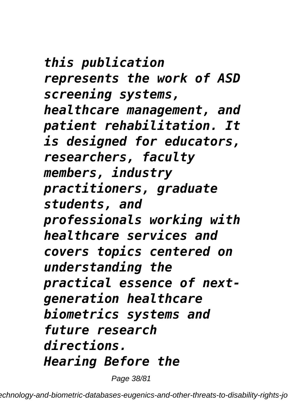*this publication represents the work of ASD screening systems, healthcare management, and patient rehabilitation. It is designed for educators, researchers, faculty members, industry practitioners, graduate students, and professionals working with healthcare services and covers topics centered on understanding the practical essence of nextgeneration healthcare biometrics systems and future research directions. Hearing Before the*

Page 38/81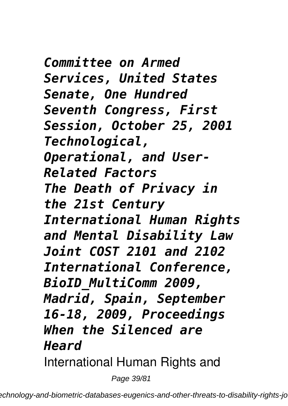*Committee on Armed Services, United States Senate, One Hundred Seventh Congress, First Session, October 25, 2001 Technological, Operational, and User-Related Factors The Death of Privacy in the 21st Century International Human Rights and Mental Disability Law Joint COST 2101 and 2102 International Conference, BioID\_MultiComm 2009, Madrid, Spain, September 16-18, 2009, Proceedings When the Silenced are Heard* International Human Rights and

Page 39/81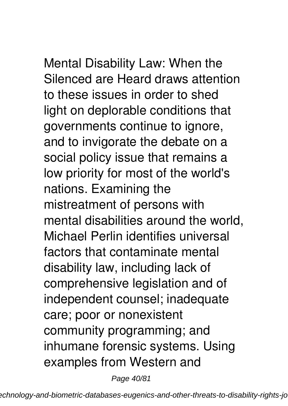Mental Disability Law: When the Silenced are Heard draws attention to these issues in order to shed light on deplorable conditions that governments continue to ignore, and to invigorate the debate on a social policy issue that remains a low priority for most of the world's nations. Examining the mistreatment of persons with mental disabilities around the world, Michael Perlin identifies universal factors that contaminate mental disability law, including lack of comprehensive legislation and of independent counsel; inadequate care; poor or nonexistent community programming; and inhumane forensic systems. Using examples from Western and

Page 40/81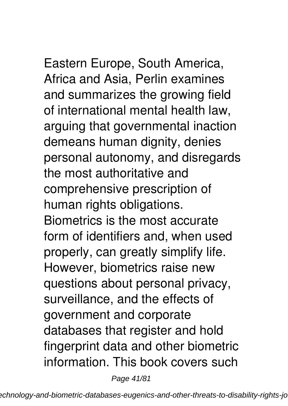Eastern Europe, South America, Africa and Asia, Perlin examines and summarizes the growing field of international mental health law, arguing that governmental inaction demeans human dignity, denies personal autonomy, and disregards the most authoritative and comprehensive prescription of human rights obligations. Biometrics is the most accurate form of identifiers and, when used properly, can greatly simplify life. However, biometrics raise new questions about personal privacy, surveillance, and the effects of government and corporate databases that register and hold fingerprint data and other biometric information. This book covers such

Page 41/81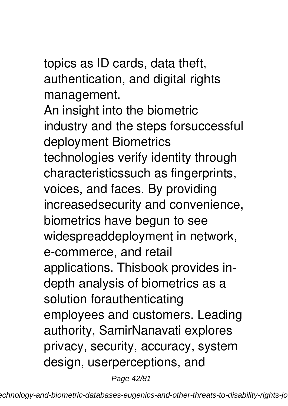topics as ID cards, data theft, authentication, and digital rights management.

An insight into the biometric industry and the steps forsuccessful deployment Biometrics technologies verify identity through characteristicssuch as fingerprints, voices, and faces. By providing increasedsecurity and convenience, biometrics have begun to see widespreaddeployment in network, e-commerce, and retail applications. Thisbook provides indepth analysis of biometrics as a solution forauthenticating employees and customers. Leading authority, SamirNanavati explores privacy, security, accuracy, system design, userperceptions, and

Page 42/81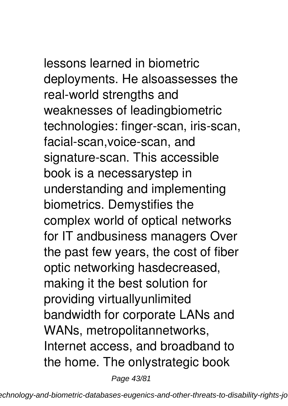lessons learned in biometric deployments. He alsoassesses the real-world strengths and weaknesses of leadingbiometric technologies: finger-scan, iris-scan, facial-scan,voice-scan, and signature-scan. This accessible book is a necessarystep in understanding and implementing biometrics. Demystifies the complex world of optical networks for IT andbusiness managers Over the past few years, the cost of fiber optic networking hasdecreased, making it the best solution for providing virtuallyunlimited bandwidth for corporate LANs and WANs, metropolitannetworks, Internet access, and broadband to the home. The onlystrategic book

Page 43/81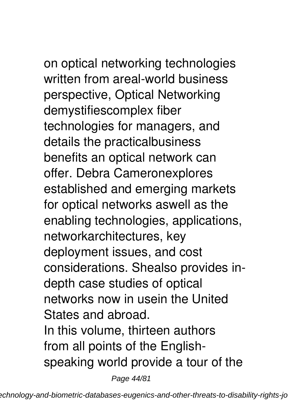on optical networking technologies written from areal-world business perspective, Optical Networking demystifiescomplex fiber technologies for managers, and details the practicalbusiness benefits an optical network can offer. Debra Cameronexplores established and emerging markets for optical networks aswell as the enabling technologies, applications, networkarchitectures, key deployment issues, and cost considerations. Shealso provides indepth case studies of optical networks now in usein the United States and abroad. In this volume, thirteen authors from all points of the Englishspeaking world provide a tour of the

Page 44/81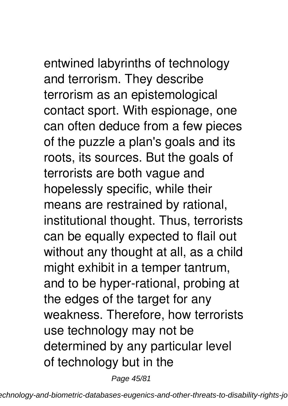entwined labyrinths of technology and terrorism. They describe terrorism as an epistemological contact sport. With espionage, one can often deduce from a few pieces of the puzzle a plan's goals and its roots, its sources. But the goals of terrorists are both vague and hopelessly specific, while their means are restrained by rational, institutional thought. Thus, terrorists can be equally expected to flail out without any thought at all, as a child might exhibit in a temper tantrum, and to be hyper-rational, probing at the edges of the target for any weakness. Therefore, how terrorists use technology may not be determined by any particular level of technology but in the

Page 45/81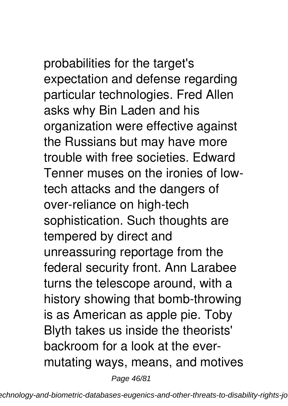probabilities for the target's expectation and defense regarding particular technologies. Fred Allen asks why Bin Laden and his organization were effective against the Russians but may have more trouble with free societies. Edward Tenner muses on the ironies of lowtech attacks and the dangers of over-reliance on high-tech sophistication. Such thoughts are tempered by direct and unreassuring reportage from the federal security front. Ann Larabee turns the telescope around, with a history showing that bomb-throwing is as American as apple pie. Toby Blyth takes us inside the theorists' backroom for a look at the evermutating ways, means, and motives

Page 46/81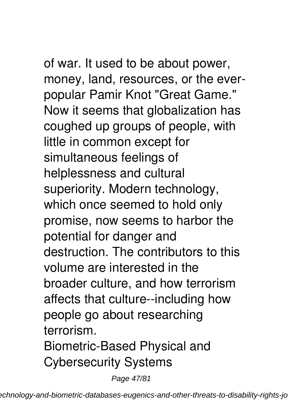of war. It used to be about power, money, land, resources, or the everpopular Pamir Knot "Great Game." Now it seems that globalization has coughed up groups of people, with little in common except for simultaneous feelings of helplessness and cultural superiority. Modern technology, which once seemed to hold only promise, now seems to harbor the potential for danger and destruction. The contributors to this volume are interested in the broader culture, and how terrorism affects that culture--including how people go about researching terrorism. Biometric-Based Physical and Cybersecurity Systems

Page 47/81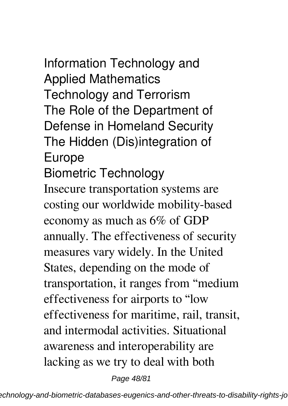Information Technology and Applied Mathematics Technology and Terrorism The Role of the Department of Defense in Homeland Security The Hidden (Dis)integration of Europe Biometric Technology Insecure transportation systems are costing our worldwide mobility-based economy as much as 6% of GDP

annually. The effectiveness of security measures vary widely. In the United States, depending on the mode of transportation, it ranges from "medium effectiveness for airports to "low effectiveness for maritime, rail, transit, and intermodal activities. Situational awareness and interoperability are lacking as we try to deal with both

Page 48/81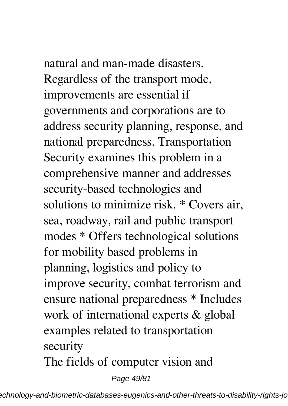## natural and man-made disasters.

Regardless of the transport mode, improvements are essential if governments and corporations are to address security planning, response, and national preparedness. Transportation Security examines this problem in a comprehensive manner and addresses security-based technologies and solutions to minimize risk. \* Covers air, sea, roadway, rail and public transport modes \* Offers technological solutions for mobility based problems in planning, logistics and policy to improve security, combat terrorism and ensure national preparedness \* Includes work of international experts & global examples related to transportation security

The fields of computer vision and

Page 49/81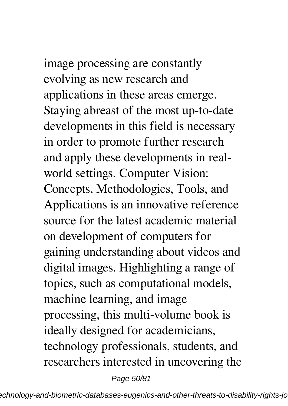## image processing are constantly

evolving as new research and applications in these areas emerge. Staying abreast of the most up-to-date developments in this field is necessary in order to promote further research and apply these developments in realworld settings. Computer Vision: Concepts, Methodologies, Tools, and Applications is an innovative reference source for the latest academic material on development of computers for gaining understanding about videos and digital images. Highlighting a range of topics, such as computational models, machine learning, and image processing, this multi-volume book is ideally designed for academicians, technology professionals, students, and researchers interested in uncovering the

Page 50/81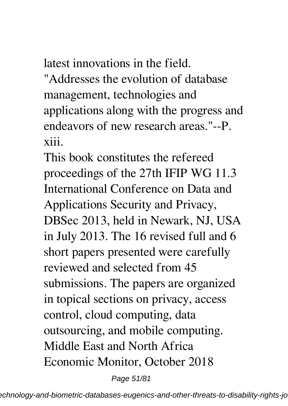latest innovations in the field.

"Addresses the evolution of database management, technologies and applications along with the progress and endeavors of new research areas."--P. xiii.

This book constitutes the refereed proceedings of the 27th IFIP WG 11.3 International Conference on Data and Applications Security and Privacy, DBSec 2013, held in Newark, NJ, USA in July 2013. The 16 revised full and 6 short papers presented were carefully reviewed and selected from 45 submissions. The papers are organized in topical sections on privacy, access control, cloud computing, data outsourcing, and mobile computing. Middle East and North Africa Economic Monitor, October 2018

Page 51/81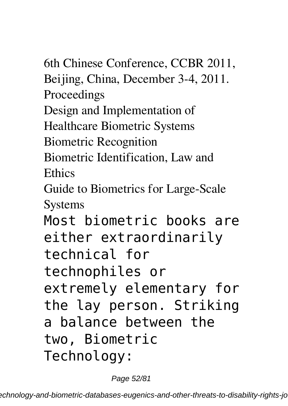6th Chinese Conference, CCBR 2011, Beijing, China, December 3-4, 2011. Proceedings Design and Implementation of Healthcare Biometric Systems Biometric Recognition Biometric Identification, Law and **Ethics** Guide to Biometrics for Large-Scale **Systems** Most biometric books are either extraordinarily technical for technophiles or extremely elementary for the lay person. Striking a balance between the two, Biometric Technology:

Page 52/81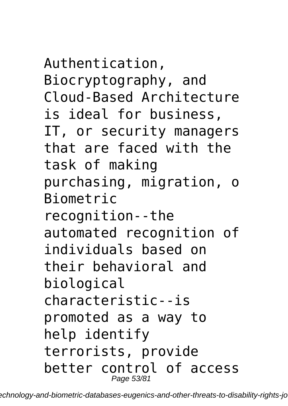Authentication, Biocryptography, and Cloud-Based Architecture is ideal for business, IT, or security managers that are faced with the task of making purchasing, migration, o Biometric recognition--the automated recognition of individuals based on their behavioral and biological characteristic--is promoted as a way to help identify terrorists, provide better control of access Page 53/81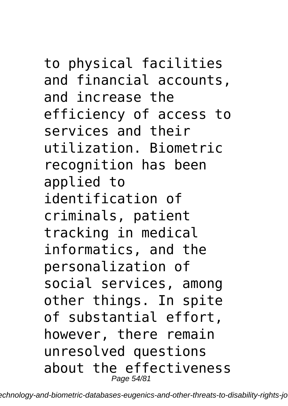to physical facilities and financial accounts, and increase the efficiency of access to services and their utilization. Biometric recognition has been applied to identification of criminals, patient tracking in medical informatics, and the personalization of social services, among other things. In spite of substantial effort, however, there remain unresolved questions about the effectiveness

Page 54/81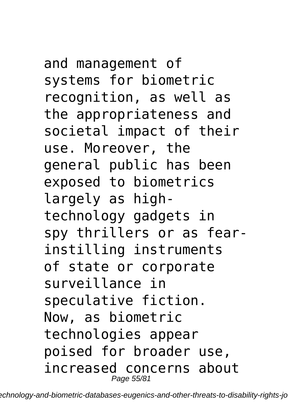and management of systems for biometric recognition, as well as the appropriateness and societal impact of their use. Moreover, the general public has been exposed to biometrics largely as hightechnology gadgets in spy thrillers or as fearinstilling instruments of state or corporate surveillance in speculative fiction. Now, as biometric technologies appear poised for broader use, increased concerns about Page 55/81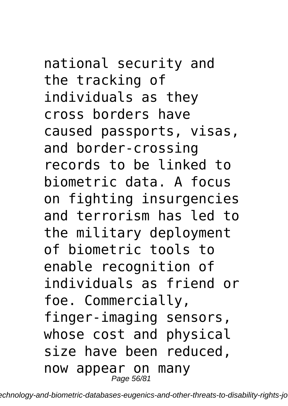national security and the tracking of individuals as they cross borders have caused passports, visas, and border-crossing records to be linked to biometric data. A focus on fighting insurgencies and terrorism has led to the military deployment of biometric tools to enable recognition of individuals as friend or foe. Commercially, finger-imaging sensors, whose cost and physical size have been reduced, now appear on many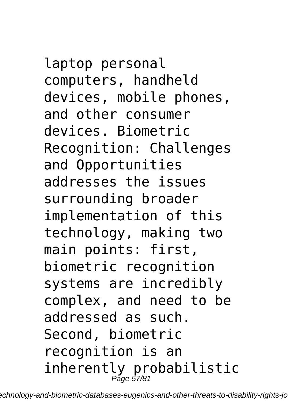laptop personal computers, handheld devices, mobile phones, and other consumer devices. Biometric Recognition: Challenges and Opportunities addresses the issues surrounding broader implementation of this technology, making two main points: first, biometric recognition systems are incredibly complex, and need to be addressed as such. Second, biometric recognition is an inherently probabilistic Page 57/81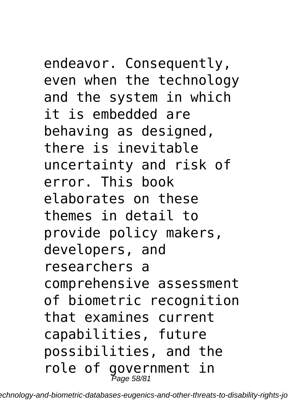endeavor. Consequently, even when the technology and the system in which it is embedded are behaving as designed, there is inevitable uncertainty and risk of error. This book elaborates on these themes in detail to provide policy makers, developers, and researchers a comprehensive assessment of biometric recognition that examines current capabilities, future possibilities, and the role of government in Page 58/81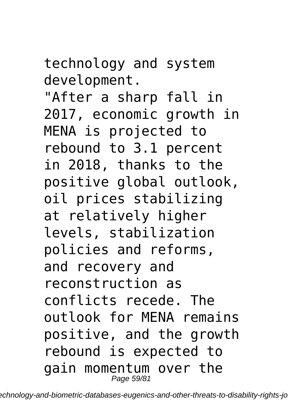technology and system development.

"After a sharp fall in 2017, economic growth in MENA is projected to rebound to 3.1 percent in 2018, thanks to the positive global outlook, oil prices stabilizing at relatively higher levels, stabilization policies and reforms, and recovery and reconstruction as conflicts recede. The outlook for MENA remains positive, and the growth rebound is expected to gain momentum over the Page 59/81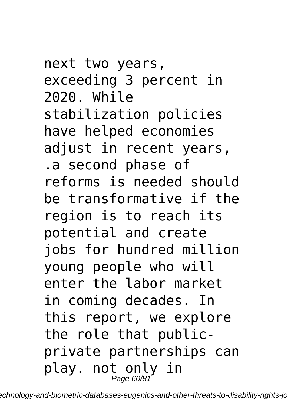next two years, exceeding 3 percent in 2020. While stabilization policies have helped economies adjust in recent years, .a second phase of reforms is needed should be transformative if the region is to reach its potential and create jobs for hundred million young people who will enter the labor market in coming decades. In this report, we explore the role that publicprivate partnerships can play. not only in<br>Page 60/81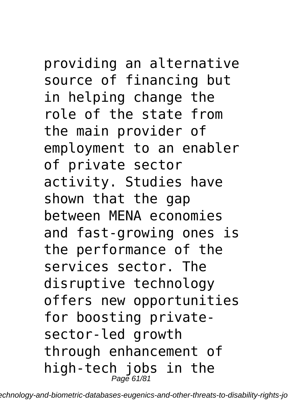providing an alternative source of financing but in helping change the role of the state from the main provider of employment to an enabler of private sector activity. Studies have shown that the gap between MENA economies and fast-growing ones is the performance of the services sector. The disruptive technology offers new opportunities for boosting private-

sector-led growth through enhancement of high-tech jobs in the  $_{Page\,61/81}^{Page\,61/81}$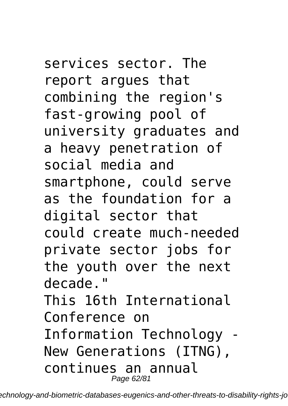services sector. The report argues that combining the region's fast-growing pool of university graduates and a heavy penetration of social media and smartphone, could serve as the foundation for a digital sector that could create much-needed private sector jobs for the youth over the next decade." This 16th International Conference on Information Technology - New Generations (ITNG), continues an annual Page 62/81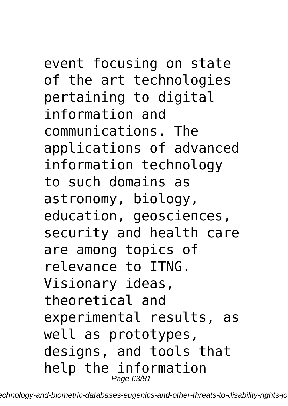### event focusing on state

of the art technologies pertaining to digital information and communications. The applications of advanced information technology to such domains as astronomy, biology, education, geosciences, security and health care are among topics of relevance to ITNG. Visionary ideas, theoretical and experimental results, as well as prototypes, designs, and tools that help the information Page 63/81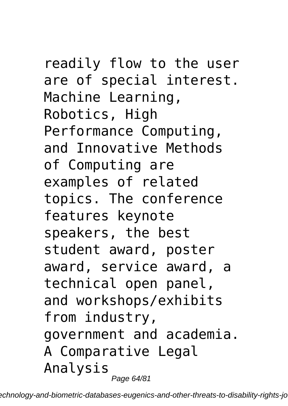readily flow to the user are of special interest. Machine Learning, Robotics, High Performance Computing, and Innovative Methods of Computing are examples of related topics. The conference features keynote speakers, the best student award, poster award, service award, a technical open panel, and workshops/exhibits from industry, government and academia. A Comparative Legal Analysis

Page 64/81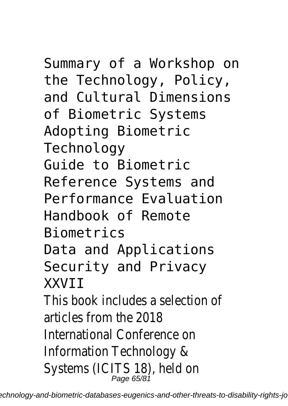Summary of a Workshop on the Technology, Policy, and Cultural Dimensions of Biometric Systems Adopting Biometric Technology Guide to Biometric Reference Systems and Performance Evaluation Handbook of Remote Biometrics Data and Applications Security and Privacy **XXVTT** This book includes a selection of articles from the 2018 International Conference on Information Technology & Systems (ICITS 18), held or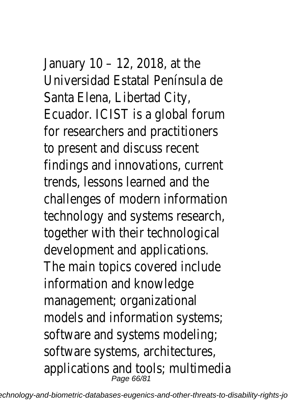January 10 – 12, 2018, at the Universidad Estatal Península d Santa Elena, Libertad City, Ecuador. ICIST is a global forum for researchers and practitione to present and discuss recent findings and innovations, current trends, lessons learned and the challenges of modern informati technology and systems resear together with their technologie development and applications. The main topics covered includ information and knowledge management; organizational models and information system software and systems modelin software systems, architecture applications and tools; multime<br>Page 66/81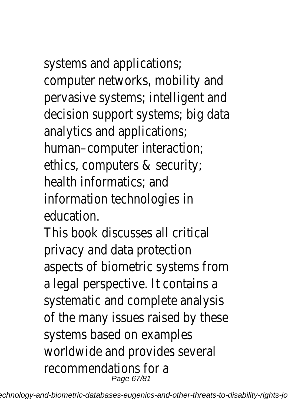systems and applications; computer networks, mobility and pervasive systems; intelligent a decision support systems; big a analytics and applications; human–computer interaction; ethics, computers & security; health informatics; and information technologies in education.

This book discusses all critical privacy and data protection aspects of biometric systems f a legal perspective. It contains systematic and complete analy of the many issues raised by the systems based on examples worldwide and provides several recommendations for a Page 67/81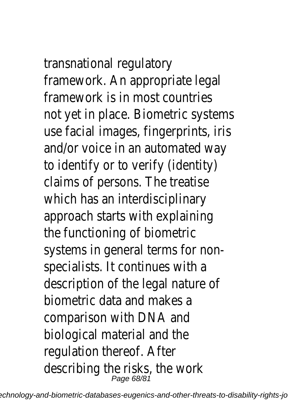## transnational regulatory

framework. An appropriate legal framework is in most countries not yet in place. Biometric syst use facial images, fingerprints, and/or voice in an automated to identify or to verify (identit claims of persons. The treatise which has an interdisciplinary approach starts with explaining the functioning of biometric systems in general terms for no specialists. It continues with a description of the legal nature biometric data and makes a comparison with DNA and biological material and the regulation thereof. After describing the risks, the work<br>*Page 68/81*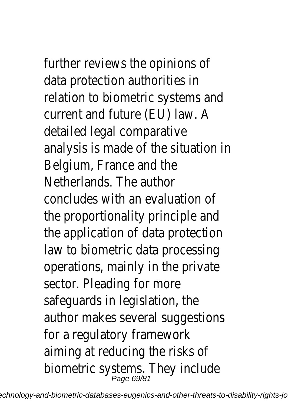further reviews the opinions of data protection authorities in relation to biometric systems a current and future (EU) law. A detailed legal comparative analysis is made of the situation Belgium, France and the Netherlands. The author concludes with an evaluation of the proportionality principle an the application of data protect law to biometric data processi operations, mainly in the privat sector. Pleading for more safeguards in legislation, the author makes several suggestic for a regulatory framework aiming at reducing the risks of biometric systems. They include<br>Page 69/81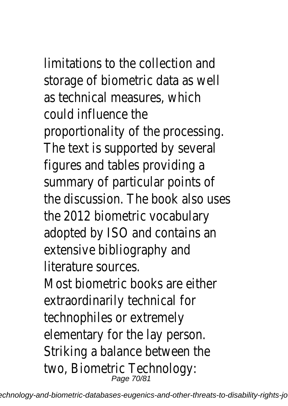# limitations to the collection an

storage of biometric data as w as technical measures, which could influence the proportionality of the processi The text is supported by sever figures and tables providing a summary of particular points of the discussion. The book also us the 2012 biometric vocabulary adopted by ISO and contains an extensive bibliography and literature sources.

Most biometric books are eitherextraordinarily technical for technophiles or extremely elementary for the lay person. Striking a balance between the two, Biometric Technology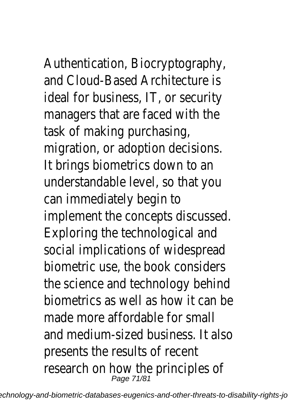Authentication, Biocryptograph and Cloud-Based Architecture is ideal for business, IT, or security managers that are faced with task of making purchasing,

migration, or adoption decision It brings biometrics down to a understandable level, so that y can immediately begin to

implement the concepts discus Exploring the technological and social implications of widesprea biometric use, the book conside the science and technology beh biometrics as well as how it ca made more affordable for smal and medium-sized business. It a presents the results of recent research on how the principles<br> $\frac{P_{\text{age 71/81}}}{P_{\text{90}}P_{\text{71/81}}}\,$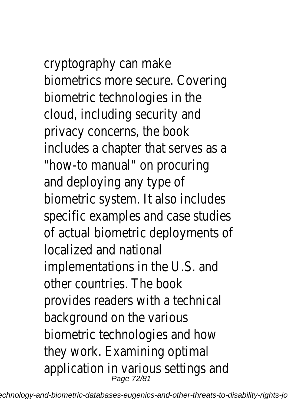cryptography can make biometrics more secure. Coveri biometric technologies in the cloud, including security and privacy concerns, the book includes a chapter that serves "how-to manual" on procuring and deploying any type of biometric system. It also includ specific examples and case stu of actual biometric deployment localized and national implementations in the U.S. and other countries. The book provides readers with a technic background on the various biometric technologies and how they work. Examining optimal application in various settings and application in various settings  $\frac{1}{2}$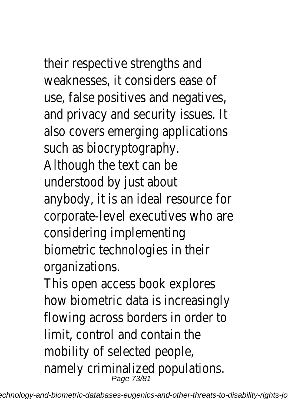their respective strengths and weaknesses, it considers ease of use, false positives and negatives, and privacy and security issues. It also covers emerging applications such as biocryptography. Although the text can be understood by just about anybody, it is an ideal resource for corporate-level executives who are considering implementing biometric technologies in their organizations.

This open access book explores how biometric data is increasingly flowing across borders in order to limit, control and contain the mobility of selected people, namely criminalized populations.<br> $P_{\text{age 73/81}}$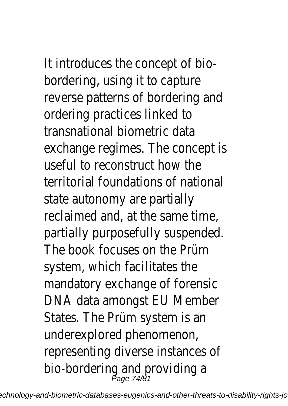It introduces the concept of biobordering, using it to capture reverse patterns of bordering and ordering practices linked to transnational biometric data exchange regimes. The concept is

useful to reconstruct how the territorial foundations of national state autonomy are partially reclaimed and, at the same time, partially purposefully suspended. The book focuses on the Prüm system, which facilitates the mandatory exchange of forensic DNA data amongst EU Member States. The Prüm system is an underexplored phenomenon, representing diverse instances of bio-bordering and providing a<br>Page 74/81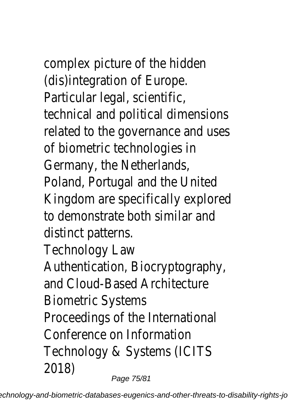complex picture of the hidden (dis)integration of Europe. Particular legal, scientific, technical and political dimensions related to the governance and uses of biometric technologies in

Germany, the Netherlands, Poland, Portugal and the United Kingdom are specifically explored to demonstrate both similar and distinct patterns.

Technology Law

Authentication, Biocryptography, and Cloud-Based Architecture Biometric Systems Proceedings of the International Conference on Information Technology & Systems (ICITS 2018)

Page 75/81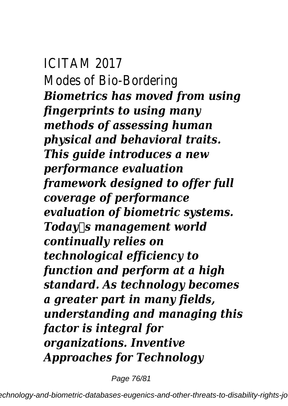ICITAM 2017 Modes of Bio-Bordering *Biometrics has moved from using fingerprints to using many methods of assessing human physical and behavioral traits. This guide introduces a new performance evaluation framework designed to offer full coverage of performance evaluation of biometric systems. Todays management world continually relies on technological efficiency to function and perform at a high standard. As technology becomes a greater part in many fields, understanding and managing this factor is integral for organizations. Inventive Approaches for Technology*

Page 76/81

echnology-and-biometric-databases-eugenics-and-other-threats-to-disability-rights-jo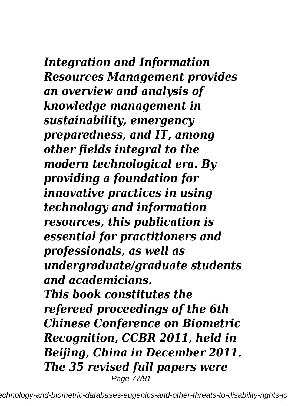## *Integration and Information Resources Management provides an overview and analysis of knowledge management in sustainability, emergency preparedness, and IT, among other fields integral to the modern technological era. By providing a foundation for innovative practices in using technology and information resources, this publication is essential for practitioners and professionals, as well as undergraduate/graduate students and academicians. This book constitutes the refereed proceedings of the 6th Chinese Conference on Biometric Recognition, CCBR 2011, held in Beijing, China in December 2011. The 35 revised full papers were*

Page 77/81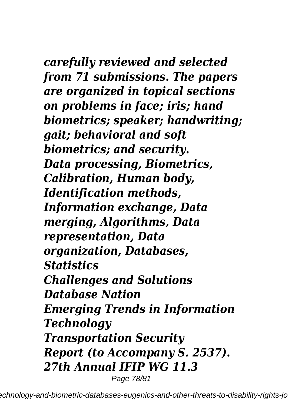*carefully reviewed and selected from 71 submissions. The papers are organized in topical sections on problems in face; iris; hand biometrics; speaker; handwriting; gait; behavioral and soft biometrics; and security. Data processing, Biometrics, Calibration, Human body, Identification methods, Information exchange, Data merging, Algorithms, Data representation, Data organization, Databases, Statistics Challenges and Solutions Database Nation Emerging Trends in Information Technology Transportation Security Report (to Accompany S. 2537). 27th Annual IFIP WG 11.3* Page 78/81

echnology-and-biometric-databases-eugenics-and-other-threats-to-disability-rights-jo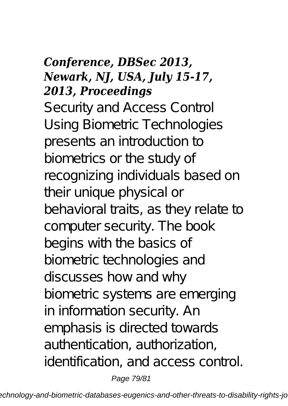## *Conference, DBSec 2013, Newark, NJ, USA, July 15-17, 2013, Proceedings*

Security and Access Control Using Biometric Technologies presents an introduction to biometrics or the study of recognizing individuals based on their unique physical or behavioral traits, as they relate to computer security. The book begins with the basics of biometric technologies and discusses how and why biometric systems are emerging in information security. An emphasis is directed towards authentication, authorization, identification, and access control.

Page 79/81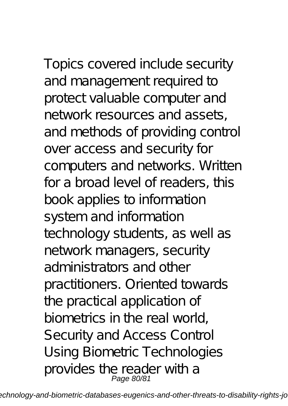Topics covered include security and management required to protect valuable computer and network resources and assets, and methods of providing control over access and security for computers and networks. Written for a broad level of readers, this book applies to information system and information technology students, as well as network managers, security administrators and other practitioners. Oriented towards the practical application of biometrics in the real world, Security and Access Control Using Biometric Technologies provides the reader with a

echnology-and-biometric-databases-eugenics-and-other-threats-to-disability-rights-jo